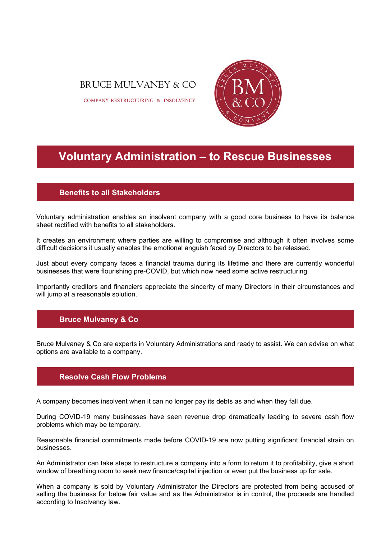



COMPANY RESTRUCTURING & INSOLVENCY

# **Voluntary Administration – to Rescue Businesses**

## **Benefits to all Stakeholders**

Voluntary administration enables an insolvent company with a good core business to have its balance sheet rectified with benefits to all stakeholders.

It creates an environment where parties are willing to compromise and although it often involves some difficult decisions it usually enables the emotional anguish faced by Directors to be released.

Just about every company faces a financial trauma during its lifetime and there are currently wonderful businesses that were flourishing pre-COVID, but which now need some active restructuring.

Importantly creditors and financiers appreciate the sincerity of many Directors in their circumstances and will jump at a reasonable solution.

## **Bruce Mulvaney & Co**

Bruce Mulvaney & Co are experts in Voluntary Administrations and ready to assist. We can advise on what options are available to a company.

## **Resolve Cash Flow Problems**

A company becomes insolvent when it can no longer pay its debts as and when they fall due.

During COVID-19 many businesses have seen revenue drop dramatically leading to severe cash flow problems which may be temporary.

Reasonable financial commitments made before COVID-19 are now putting significant financial strain on businesses.

An Administrator can take steps to restructure a company into a form to return it to profitability, give a short window of breathing room to seek new finance/capital injection or even put the business up for sale.

When a company is sold by Voluntary Administrator the Directors are protected from being accused of selling the business for below fair value and as the Administrator is in control, the proceeds are handled according to Insolvency law.